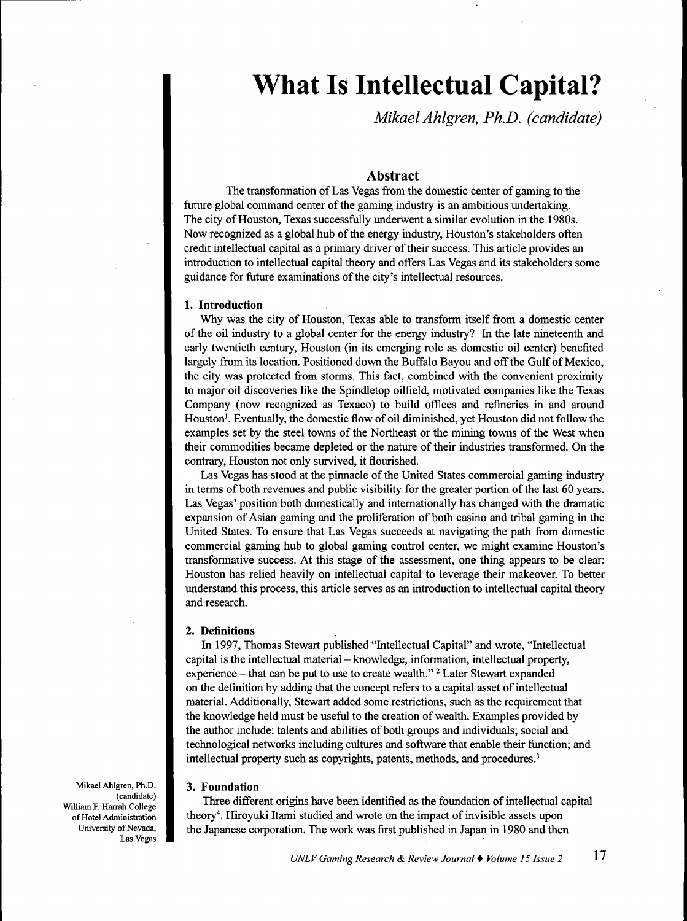# **What Is Intellectual Capital?**

*Mikael Ahlgren, Ph.D. (candidate)*

# Abstract

The transformation of Las Vegas from the domestic center of gaming to the future global command center of the gaming industry is an ambitious undertaking. The city of Houston, Texas successfully underwent a similar evolution in the 1980s. Now recognized as a global hub of the energy industry, Houston's stakeholders often credit intellectual capital as a primary driver of their success. This article provides an introduction to intellectual capital theory and offers Las Vegas and its stakeholders some guidance for future examinations of the city's intellectual resources.

### **1. Introduction**

Why was the city of Houston, Texas able to transform itself from a domestic center of the oil industry to a global center for the energy industry? In the late nineteenth and early twentieth century, Houston (in its emerging role as domestic oil center) benefited largely from its location. Positioned down the Buffalo Bayou and off the Gulf of Mexico, the city was protected from storms. This fact, combined with the convenient proximity to major oil discoveries like the Spindletop oilfield, motivated companies like the Texas Company (now recognized as Texaco) to build offices and refineries in and around Houston'. Eventually, the domestic flow of oil diminished, yet Houston did not follow the examples set by the steel towns of the Northeast or the mining towns of the West when their commodities became depleted or the nature of their industries transformed. On the contrary, Houston not only survived, it flourished.

Las Vegas has stood at the pinnacle of the United States commercial gaming industry in terms of both revenues and public visibility for the greater portion of the last 60 years. Las Vegas' position both domestically and intemationally has changed with the dramatic expansion of Asian gaming and the proliferation of both casino and tribal gaming in the United States. To ensure that Las Vegas succeeds at navigating the path from domestic commercial gaming hub to global gaming control center, we might examine Houston's transformative success. At this stage of the assessment, one thing appears to be clear: Houston has relied heavily on intellectual capital to leverage their makeover. To better understand this process, this article serves as an introduction to intellectual capital theory and research.

#### **2. Definitions**

In 1997, Thomas Stewart published "Intellectual Capital" and wrote, "Intellectual capital is the intellectual material – knowledge, information, intellectual property, experience  $-$  that can be put to use to create wealth." <sup>2</sup> Later Stewart expanded on the definition by adding that the concept refers to a capital asset of intellectual material. Additionally, Stewart added some restrictions, such as the requirement that the knowledge held must be useful to the creation of wealth. Examples provided by the author include: talents and abilities of both groups and individuals; social and technological networks including cultures and software that enable their function; and intellectual property such as copyrights, patents, methods, and procedures.<sup>3</sup>

#### **3. Foundation**

Three different origins have been identified as the foundation of intellectual capital theory''. Hiroyuki Itami studied and wrote on the impact of invisible assets upon the Japanese corporation. The work was first published in Japan in 1980 and then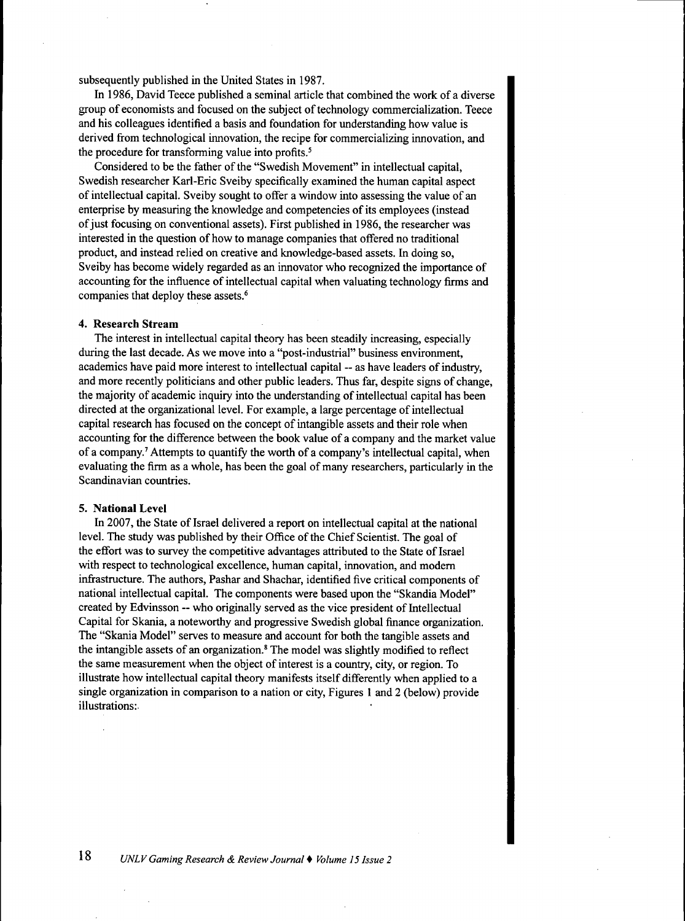subsequently published in the United States in 1987.

In 1986, David Teece published a seminal article that combined the work of a diverse group of economists and focused on the subject of technology commercialization. Teece and his colleagues identified a basis and foundation for understanding how value is derived from technological innovation, the recipe for commercializing innovation, and the procedure for transforming value into profits.<sup>5</sup>

Considered to be the father of tbe "Swedish Movement" in intellectual capital, Swedish researcher Karl-Eric Sveiby specifically examined the human capital aspect of intellectual capital. Sveiby sought to offer a window into assessing the value of an enterprise by measuring the knowledge and competencies of its employees (instead of just focusing on conventional assets). First published in 1986, the researcher was interested in the question of how to manage companies that offered no traditional product, and instead relied on creative and knowledge-based assets. In doing so, Sveiby bas become widely regarded as an innovator who recognized the importance of accounting for the influence of intellectual capital when valuating technology firms and companies that deploy these assets.<sup>6</sup>

#### **4. Research Stream**

The interest in intellectual capital theory bas been steadily increasing, especially during the last decade. As we move into a "post-industrial" business environment, academics have paid more interest to intellectual capital - as have leaders of industry, and more recently politicians and other public leaders. Thus far, despite signs of change, the majority of academic inquiry into the understanding of intellectual capital bas been directed at the organizational level. For example, a large percentage of intellectual capital research has focused on the concept of intangible assets and their role when accounting for the difference between the book value of a company and the market value of a company.'Attempts to quantify the worth of a company's intellectual capital, when evaluating the firm as a whole, has been the goal of many researchers, particularly in the Scandinavian countries.

#### **5. National Level**

In 2007, the State of Israel delivered a report on intellectual capital at the national level. The study was published by their Office of the Chief Scientist. The goal of the effort was to survey the competitive advantages attributed to the State of Israel with respect to technological excellence, human capital, innovation, and modem infrastructure. The authors, Pashar and Shachar, identified five critical components of national intellectual capital. The components were based upon the "Skandia Model" created by Edvinsson ~ who originally served as the vice president of Intellectual Capital for Skania, a noteworthy and progressive Swedish global finance organization. The "Skania Model" serves to measure and account for both the tangible assets and the intangible assets of an organization.<sup>8</sup> The model was slightly modified to reflect the same measurement when the object of interest is a country, city, or region. To illustrate how intellectual capital theory manifests itself differently when applied to a single organization in comparison to a nation or city. Figures 1 and 2 (below) provide illustrations: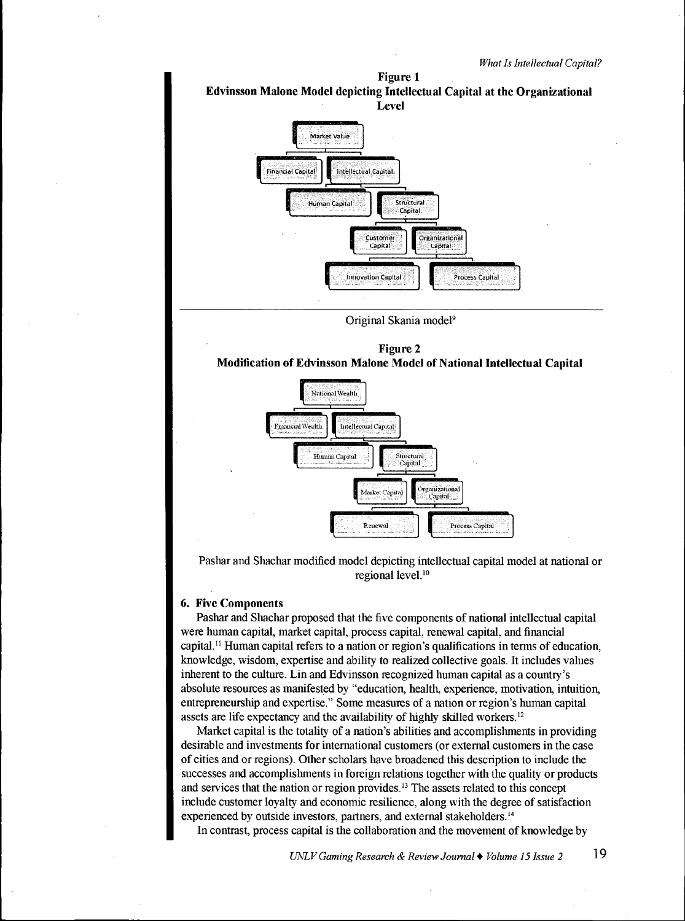



# **6. Five Components**

Pashar and Shachar proposed that the five components of national intellectual capital were human capital, market capital, process capital, renewal capital, and financial capital.<sup>11</sup> Human capital refers to a nation or region's qualifications in terms of education, knowledge, wisdom, expertise and ability to realized collective goals. It includes values inherent to the culture. Lin and Edvinsson recognized human capital as a country's absolute resources as manifested by "education, health, experience, motivation, intuition, entrepreneurship and expertise." Some measures of a nation or region's human capital assets are life expectancy and the availability of highly skilled workers.<sup>12</sup>

Market capital is the totality of a nation's abilities and accomplishments in providing desirable and investments for international customers (or external customers in the case of cities and or regions). Other scholars have broadened this description to include the successes and accomplishments in foreign relations together with the quality or products and services that the nation or region provides.<sup>13</sup> The assets related to this concept include customer loyalty and economic resilience, along with the degree of satisfaction experienced by outside investors, partners, and external stakeholders.<sup>14</sup>

In contrast, process capital is the collaboration and the movement of knowledge by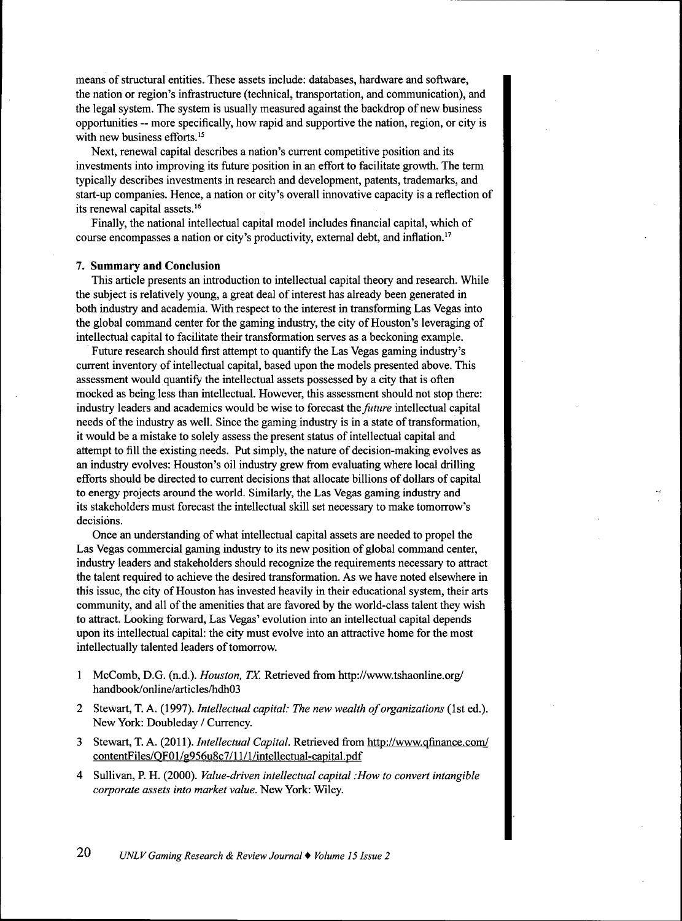means of structural entities. These assets include: databases, hardware and software, the nation or region's infrastructure (technical, transportation, and communication), and the legal system. The system is usually measured against the backdrop of new business opportunities — more specifically, how rapid and supportive the nation, region, or city is with new business efforts.<sup>15</sup>

Next, renewal capital describes a nation's current competitive position and its investments into improving its future position in an effort to facilitate growth. The term typically describes investments in research and development, patents, trademarks, and start-up companies. Hence, a nation or city's overall innovative capacity is a reflection of its renewal capital assets.<sup>16</sup>

Finally, the national intellectual capital model includes financial capital, which of course encompasses a nation or city's productivity, extemal debt, and inflation."

# **7. Summary and Conclusion**

This article presents an introduction to intellectual capital theory and research. While the subject is relatively young, a great deal of interest has already been generated in both industry and academia. With respect to the interest in transforming Las Vegas into the global command center for the gaming industry, the city of Houston's leveraging of intellectual capital to facilitate their transformation serves as a beckoning example.

Future research should first attempt to quantify the Las Vegas gaming industry's current inventory of intellectual capital, based upon the models presented above. This assessment would quantify the intellectual assets possessed by a city that is often mocked as being less than intellectual. However, this assessment should not stop there: industry leaders and academics would be wise to forecast *the future* intellectual capital needs of the industry as well. Since the gaming industry is in a state of transformation, it would be a mistake to solely assess the present status of intellectual capital and attempt to fill the existing needs. Put simply, the nature of decision-making evolves as an industry evolves: Houston's oil industry grew from evaluating where local drilling efforts should be directed to current decisions that allocate billions of dollars of capital to energy projects around the world. Similarly, the Las Vegas gaming industry and its stakeholders must forecast the intellectual skill set necessary to make tomorrow's decisions.

Once an understanding of what intellectual capital assets are needed to propel the Las Vegas commercial gaming industry to its new position of global command center, industry leaders and stakeholders should recognize the requirements necessary to attract the talent required to achieve the desired transformation. As we have noted elsewhere in this issue, the city of Houston has invested heavily in their educational system, their arts community, and all of the amenities that are favored by the world-class talent they wish to attract. Looking forward. Las Vegas' evolution into an intellectual capital depends upon its intellectual capital: the city must evolve into an attractive home for the most intellectually talented leaders of tomorrow.

- 1 McComb, D.G. (n.d.). *Houston, TX.* Retrieved from http://www.tshaonline.org/ handbook/online/articles/hdh03
- 2 Stewart, T. A. (1997). *Intellectual capital: The new wealth of organizations* (1st ed.). New York: Doubleday / Currency.
- 3 Stewart, T. A. (2011). *Intellectual Capital*. Retrieved from http://www.qfinance.com/ contentFiles/OF01/g956u8c7/ll/l/intellectual-capital.pdf
- 4 Sullivan, P. H. (2000). *Value-driven intellectual capital :How to convert intangible corporate assets into market value.* New York: Wiley.